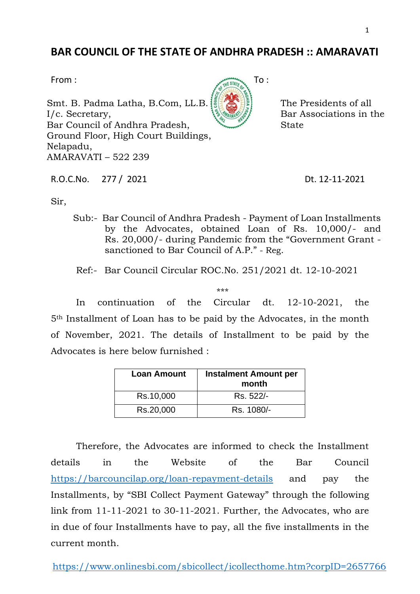## **BAR COUNCIL OF THE STATE OF ANDHRA PRADESH :: AMARAVATI**

Smt. B. Padma Latha, B.Com, LL.B. I/c. Secretary, Bar Council of Andhra Pradesh, Ground Floor, High Court Buildings, Nelapadu, AMARAVATI – 522 239

R.O.C.No. 277 / 2021 Dt. 12-11-2021

The Presidents of all Bar Associations in the

**State** 

Sir,

Sub:- Bar Council of Andhra Pradesh - Payment of Loan Installments by the Advocates, obtained Loan of Rs. 10,000/- and Rs. 20,000/- during Pandemic from the "Government Grant sanctioned to Bar Council of A.P." - Reg.

Ref:- Bar Council Circular ROC.No. 251/2021 dt. 12-10-2021

\*\*\*

In continuation of the Circular dt. 12-10-2021, the 5th Installment of Loan has to be paid by the Advocates, in the month of November, 2021. The details of Installment to be paid by the Advocates is here below furnished :

| <b>Loan Amount</b> | <b>Instalment Amount per</b><br>month |
|--------------------|---------------------------------------|
| Rs.10,000          | Rs. 522/-                             |
| Rs.20,000          | Rs. 1080/-                            |

Therefore, the Advocates are informed to check the Installment details in the Website of the Bar Council <https://barcouncilap.org/loan-repayment-details> and pay the Installments, by "SBI Collect Payment Gateway" through the following link from 11-11-2021 to 30-11-2021. Further, the Advocates, who are in due of four Installments have to pay, all the five installments in the current month.

<https://www.onlinesbi.com/sbicollect/icollecthome.htm?corpID=2657766>

1